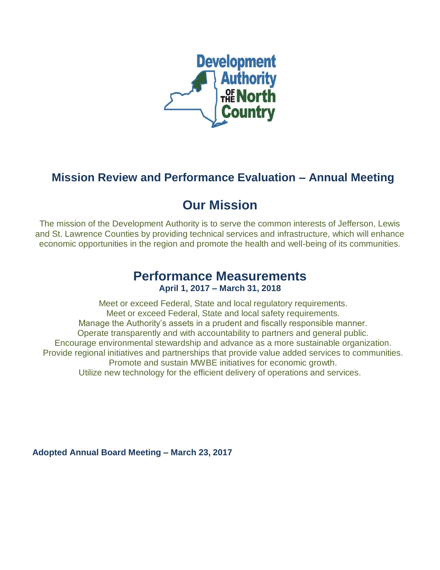

## **Mission Review and Performance Evaluation – Annual Meeting**

# **Our Mission**

The mission of the Development Authority is to serve the common interests of Jefferson, Lewis and St. Lawrence Counties by providing technical services and infrastructure, which will enhance economic opportunities in the region and promote the health and well-being of its communities.

## **Performance Measurements April 1, 2017 – March 31, 2018**

Meet or exceed Federal, State and local regulatory requirements. Meet or exceed Federal, State and local safety requirements. Manage the Authority's assets in a prudent and fiscally responsible manner. Operate transparently and with accountability to partners and general public. Encourage environmental stewardship and advance as a more sustainable organization. Provide regional initiatives and partnerships that provide value added services to communities. Promote and sustain MWBE initiatives for economic growth. Utilize new technology for the efficient delivery of operations and services.

**Adopted Annual Board Meeting – March 23, 2017**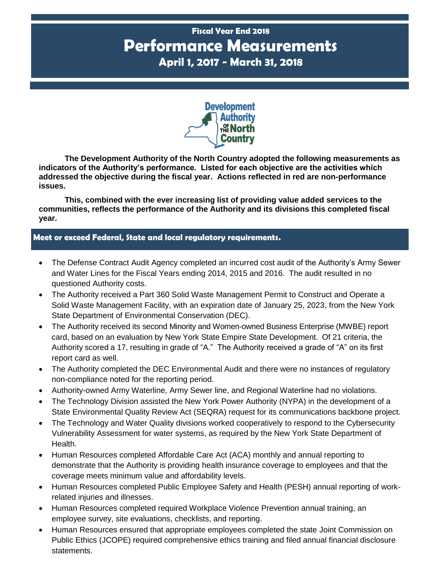## **Fiscal Year End 2018 Performance Measurements April 1, 2017 - March 31, 2018**



**The Development Authority of the North Country adopted the following measurements as indicators of the Authority's performance. Listed for each objective are the activities which addressed the objective during the fiscal year. Actions reflected in red are non-performance issues.**

**This, combined with the ever increasing list of providing value added services to the communities, reflects the performance of the Authority and its divisions this completed fiscal year.**

### **P Meet or exceed Federal, State and local regulatory requirements.**

- The Defense Contract Audit Agency completed an incurred cost audit of the Authority's Army Sewer and Water Lines for the Fiscal Years ending 2014, 2015 and 2016. The audit resulted in no questioned Authority costs.
- The Authority received a Part 360 Solid Waste Management Permit to Construct and Operate a Solid Waste Management Facility, with an expiration date of January 25, 2023, from the New York State Department of Environmental Conservation (DEC).
- The Authority received its second Minority and Women-owned Business Enterprise (MWBE) report card, based on an evaluation by New York State Empire State Development. Of 21 criteria, the Authority scored a 17, resulting in grade of "A." The Authority received a grade of "A" on its first report card as well.
- The Authority completed the DEC Environmental Audit and there were no instances of regulatory non-compliance noted for the reporting period.
- Authority-owned Army Waterline, Army Sewer line, and Regional Waterline had no violations.
- The Technology Division assisted the New York Power Authority (NYPA) in the development of a State Environmental Quality Review Act (SEQRA) request for its communications backbone project.
- The Technology and Water Quality divisions worked cooperatively to respond to the Cybersecurity Vulnerability Assessment for water systems, as required by the New York State Department of Health.
- Human Resources completed Affordable Care Act (ACA) monthly and annual reporting to demonstrate that the Authority is providing health insurance coverage to employees and that the coverage meets minimum value and affordability levels.
- Human Resources completed Public Employee Safety and Health (PESH) annual reporting of workrelated injuries and illnesses.
- Human Resources completed required Workplace Violence Prevention annual training, an employee survey, site evaluations, checklists, and reporting.
- Human Resources ensured that appropriate employees completed the state Joint Commission on Public Ethics (JCOPE) required comprehensive ethics training and filed annual financial disclosure statements.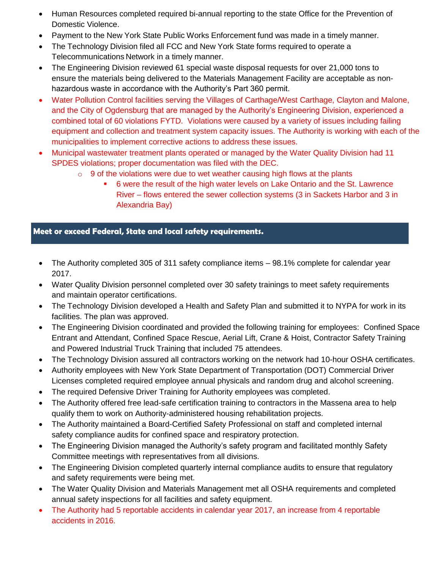- Human Resources completed required bi-annual reporting to the state Office for the Prevention of Domestic Violence.
- Payment to the New York State Public Works Enforcement fund was made in a timely manner.
- The Technology Division filed all FCC and New York State forms required to operate a Telecommunications Network in a timely manner.
- The Engineering Division reviewed 61 special waste disposal requests for over 21,000 tons to ensure the materials being delivered to the Materials Management Facility are acceptable as nonhazardous waste in accordance with the Authority's Part 360 permit.
- Water Pollution Control facilities serving the Villages of Carthage/West Carthage, Clayton and Malone, and the City of Ogdensburg that are managed by the Authority's Engineering Division, experienced a combined total of 60 violations FYTD. Violations were caused by a variety of issues including failing equipment and collection and treatment system capacity issues. The Authority is working with each of the municipalities to implement corrective actions to address these issues.
- Municipal wastewater treatment plants operated or managed by the Water Quality Division had 11 SPDES violations; proper documentation was filed with the DEC.
	- $\circ$  9 of the violations were due to wet weather causing high flows at the plants
		- 6 were the result of the high water levels on Lake Ontario and the St. Lawrence River – flows entered the sewer collection systems (3 in Sackets Harbor and 3 in Alexandria Bay)

## **P Meet or exceed Federal, State and local safety requirements.**

- The Authority completed 305 of 311 safety compliance items 98.1% complete for calendar year 2017.
- Water Quality Division personnel completed over 30 safety trainings to meet safety requirements and maintain operator certifications.
- The Technology Division developed a Health and Safety Plan and submitted it to NYPA for work in its facilities. The plan was approved.
- The Engineering Division coordinated and provided the following training for employees: Confined Space Entrant and Attendant, Confined Space Rescue, Aerial Lift, Crane & Hoist, Contractor Safety Training and Powered Industrial Truck Training that included 75 attendees.
- The Technology Division assured all contractors working on the network had 10-hour OSHA certificates.
- Authority employees with New York State Department of Transportation (DOT) Commercial Driver Licenses completed required employee annual physicals and random drug and alcohol screening.
- The required Defensive Driver Training for Authority employees was completed.
- The Authority offered free lead-safe certification training to contractors in the Massena area to help qualify them to work on Authority-administered housing rehabilitation projects.
- The Authority maintained a Board-Certified Safety Professional on staff and completed internal safety compliance audits for confined space and respiratory protection.
- The Engineering Division managed the Authority's safety program and facilitated monthly Safety Committee meetings with representatives from all divisions.
- The Engineering Division completed quarterly internal compliance audits to ensure that regulatory and safety requirements were being met.
- The Water Quality Division and Materials Management met all OSHA requirements and completed annual safety inspections for all facilities and safety equipment.
- The Authority had 5 reportable accidents in calendar year 2017, an increase from 4 reportable accidents in 2016.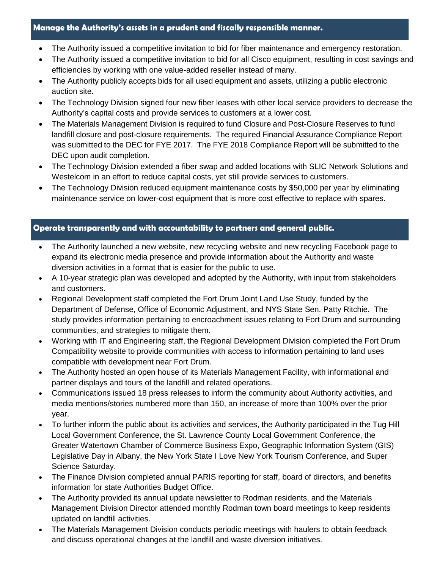#### **P Manage the Authority's assets in a prudent and fiscally responsible manner.**

- The Authority issued a competitive invitation to bid for fiber maintenance and emergency restoration.
- The Authority issued a competitive invitation to bid for all Cisco equipment, resulting in cost savings and efficiencies by working with one value-added reseller instead of many.
- The Authority publicly accepts bids for all used equipment and assets, utilizing a public electronic auction site.
- The Technology Division signed four new fiber leases with other local service providers to decrease the Authority's capital costs and provide services to customers at a lower cost.
- The Materials Management Division is required to fund Closure and Post-Closure Reserves to fund landfill closure and post-closure requirements. The required Financial Assurance Compliance Report was submitted to the DEC for FYE 2017. The FYE 2018 Compliance Report will be submitted to the DEC upon audit completion.
- The Technology Division extended a fiber swap and added locations with SLIC Network Solutions and Westelcom in an effort to reduce capital costs, yet still provide services to customers.
- The Technology Division reduced equipment maintenance costs by \$50,000 per year by eliminating maintenance service on lower-cost equipment that is more cost effective to replace with spares.

#### **P Operate transparently and with accountability to partners and general public.**

- The Authority launched a new website, new recycling website and new recycling Facebook page to expand its electronic media presence and provide information about the Authority and waste diversion activities in a format that is easier for the public to use.
- A 10-year strategic plan was developed and adopted by the Authority, with input from stakeholders and customers.
- Regional Development staff completed the Fort Drum Joint Land Use Study, funded by the Department of Defense, Office of Economic Adjustment, and NYS State Sen. Patty Ritchie. The study provides information pertaining to encroachment issues relating to Fort Drum and surrounding communities, and strategies to mitigate them.
- Working with IT and Engineering staff, the Regional Development Division completed the Fort Drum Compatibility website to provide communities with access to information pertaining to land uses compatible with development near Fort Drum.
- The Authority hosted an open house of its Materials Management Facility, with informational and partner displays and tours of the landfill and related operations.
- Communications issued 18 press releases to inform the community about Authority activities, and media mentions/stories numbered more than 150, an increase of more than 100% over the prior year.
- To further inform the public about its activities and services, the Authority participated in the Tug Hill Local Government Conference, the St. Lawrence County Local Government Conference, the Greater Watertown Chamber of Commerce Business Expo, Geographic Information System (GIS) Legislative Day in Albany, the New York State I Love New York Tourism Conference, and Super Science Saturday.
- The Finance Division completed annual PARIS reporting for staff, board of directors, and benefits information for state Authorities Budget Office.
- The Authority provided its annual update newsletter to Rodman residents, and the Materials Management Division Director attended monthly Rodman town board meetings to keep residents updated on landfill activities.
- The Materials Management Division conducts periodic meetings with haulers to obtain feedback and discuss operational changes at the landfill and waste diversion initiatives.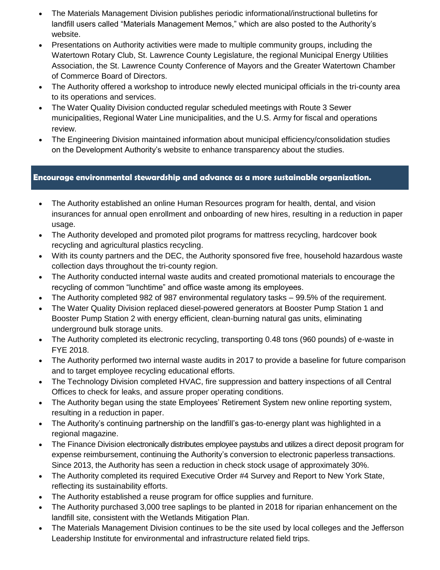- The Materials Management Division publishes periodic informational/instructional bulletins for landfill users called "Materials Management Memos," which are also posted to the Authority's website.
- Presentations on Authority activities were made to multiple community groups, including the Watertown Rotary Club, St. Lawrence County Legislature, the regional Municipal Energy Utilities Association, the St. Lawrence County Conference of Mayors and the Greater Watertown Chamber of Commerce Board of Directors.
- The Authority offered a workshop to introduce newly elected municipal officials in the tri-county area to its operations and services.
- The Water Quality Division conducted regular scheduled meetings with Route 3 Sewer municipalities, Regional Water Line municipalities, and the U.S. Army for fiscal and operations review.
- The Engineering Division maintained information about municipal efficiency/consolidation studies on the Development Authority's website to enhance transparency about the studies.

### **P Encourage environmental stewardship and advance as a more sustainable organization.**

- The Authority established an online Human Resources program for health, dental, and vision insurances for annual open enrollment and onboarding of new hires, resulting in a reduction in paper usage.
- The Authority developed and promoted pilot programs for mattress recycling, hardcover book recycling and agricultural plastics recycling.
- With its county partners and the DEC, the Authority sponsored five free, household hazardous waste collection days throughout the tri-county region.
- The Authority conducted internal waste audits and created promotional materials to encourage the recycling of common "lunchtime" and office waste among its employees.
- The Authority completed 982 of 987 environmental regulatory tasks 99.5% of the requirement.
- The Water Quality Division replaced diesel-powered generators at Booster Pump Station 1 and Booster Pump Station 2 with energy efficient, clean-burning natural gas units, eliminating underground bulk storage units.
- The Authority completed its electronic recycling, transporting 0.48 tons (960 pounds) of e-waste in FYE 2018.
- The Authority performed two internal waste audits in 2017 to provide a baseline for future comparison and to target employee recycling educational efforts.
- The Technology Division completed HVAC, fire suppression and battery inspections of all Central Offices to check for leaks, and assure proper operating conditions.
- The Authority began using the state Employees' Retirement System new online reporting system, resulting in a reduction in paper.
- The Authority's continuing partnership on the landfill's gas-to-energy plant was highlighted in a regional magazine.
- The Finance Division electronically distributes employee paystubs and utilizes a direct deposit program for expense reimbursement, continuing the Authority's conversion to electronic paperless transactions. Since 2013, the Authority has seen a reduction in check stock usage of approximately 30%.
- The Authority completed its required Executive Order #4 Survey and Report to New York State, reflecting its sustainability efforts.
- The Authority established a reuse program for office supplies and furniture.
- The Authority purchased 3,000 tree saplings to be planted in 2018 for riparian enhancement on the landfill site, consistent with the Wetlands Mitigation Plan.
- The Materials Management Division continues to be the site used by local colleges and the Jefferson Leadership Institute for environmental and infrastructure related field trips.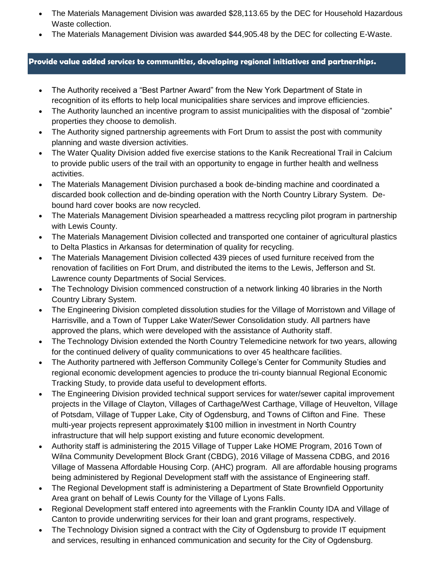- The Materials Management Division was awarded \$28,113.65 by the DEC for Household Hazardous Waste collection.
- The Materials Management Division was awarded \$44,905.48 by the DEC for collecting E-Waste.

#### **P Provide value added services to communities, developing regional initiatives and partnerships.**

- The Authority received a "Best Partner Award" from the New York Department of State in recognition of its efforts to help local municipalities share services and improve efficiencies.
- The Authority launched an incentive program to assist municipalities with the disposal of "zombie" properties they choose to demolish.
- The Authority signed partnership agreements with Fort Drum to assist the post with community planning and waste diversion activities.
- The Water Quality Division added five exercise stations to the Kanik Recreational Trail in Calcium to provide public users of the trail with an opportunity to engage in further health and wellness activities.
- The Materials Management Division purchased a book de-binding machine and coordinated a discarded book collection and de-binding operation with the North Country Library System. Debound hard cover books are now recycled.
- The Materials Management Division spearheaded a mattress recycling pilot program in partnership with Lewis County.
- The Materials Management Division collected and transported one container of agricultural plastics to Delta Plastics in Arkansas for determination of quality for recycling.
- The Materials Management Division collected 439 pieces of used furniture received from the renovation of facilities on Fort Drum, and distributed the items to the Lewis, Jefferson and St. Lawrence county Departments of Social Services.
- The Technology Division commenced construction of a network linking 40 libraries in the North Country Library System.
- The Engineering Division completed dissolution studies for the Village of Morristown and Village of Harrisville, and a Town of Tupper Lake Water/Sewer Consolidation study. All partners have approved the plans, which were developed with the assistance of Authority staff.
- The Technology Division extended the North Country Telemedicine network for two years, allowing for the continued delivery of quality communications to over 45 healthcare facilities.
- The Authority partnered with Jefferson Community College's Center for Community Studies and regional economic development agencies to produce the tri-county biannual Regional Economic Tracking Study, to provide data useful to development efforts.
- The Engineering Division provided technical support services for water/sewer capital improvement projects in the Village of Clayton, Villages of Carthage/West Carthage, Village of Heuvelton, Village of Potsdam, Village of Tupper Lake, City of Ogdensburg, and Towns of Clifton and Fine. These multi-year projects represent approximately \$100 million in investment in North Country infrastructure that will help support existing and future economic development.
- Authority staff is administering the 2015 Village of Tupper Lake HOME Program, 2016 Town of Wilna Community Development Block Grant (CBDG), 2016 Village of Massena CDBG, and 2016 Village of Massena Affordable Housing Corp. (AHC) program. All are affordable housing programs being administered by Regional Development staff with the assistance of Engineering staff.
- The Regional Development staff is administering a Department of State Brownfield Opportunity Area grant on behalf of Lewis County for the Village of Lyons Falls.
- Regional Development staff entered into agreements with the Franklin County IDA and Village of Canton to provide underwriting services for their loan and grant programs, respectively.
- The Technology Division signed a contract with the City of Ogdensburg to provide IT equipment and services, resulting in enhanced communication and security for the City of Ogdensburg.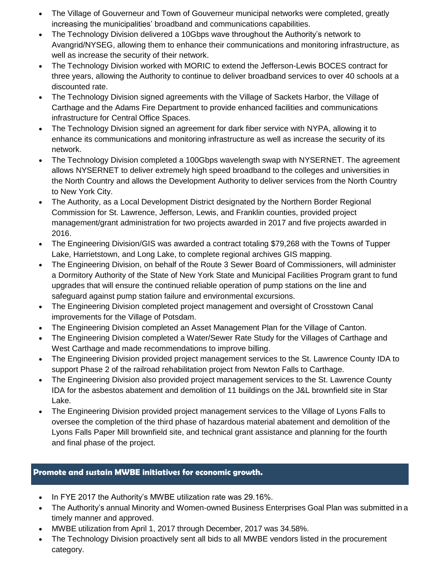- The Village of Gouverneur and Town of Gouverneur municipal networks were completed, greatly increasing the municipalities' broadband and communications capabilities.
- The Technology Division delivered a 10Gbps wave throughout the Authority's network to Avangrid/NYSEG, allowing them to enhance their communications and monitoring infrastructure, as well as increase the security of their network.
- The Technology Division worked with MORIC to extend the Jefferson-Lewis BOCES contract for three years, allowing the Authority to continue to deliver broadband services to over 40 schools at a discounted rate.
- The Technology Division signed agreements with the Village of Sackets Harbor, the Village of Carthage and the Adams Fire Department to provide enhanced facilities and communications infrastructure for Central Office Spaces.
- The Technology Division signed an agreement for dark fiber service with NYPA, allowing it to enhance its communications and monitoring infrastructure as well as increase the security of its network.
- The Technology Division completed a 100Gbps wavelength swap with NYSERNET. The agreement allows NYSERNET to deliver extremely high speed broadband to the colleges and universities in the North Country and allows the Development Authority to deliver services from the North Country to New York City.
- The Authority, as a Local Development District designated by the Northern Border Regional Commission for St. Lawrence, Jefferson, Lewis, and Franklin counties, provided project management/grant administration for two projects awarded in 2017 and five projects awarded in 2016.
- The Engineering Division/GIS was awarded a contract totaling \$79,268 with the Towns of Tupper Lake, Harrietstown, and Long Lake, to complete regional archives GIS mapping.
- The Engineering Division, on behalf of the Route 3 Sewer Board of Commissioners, will administer a Dormitory Authority of the State of New York State and Municipal Facilities Program grant to fund upgrades that will ensure the continued reliable operation of pump stations on the line and safeguard against pump station failure and environmental excursions.
- The Engineering Division completed project management and oversight of Crosstown Canal improvements for the Village of Potsdam.
- The Engineering Division completed an Asset Management Plan for the Village of Canton.
- The Engineering Division completed a Water/Sewer Rate Study for the Villages of Carthage and West Carthage and made recommendations to improve billing.
- The Engineering Division provided project management services to the St. Lawrence County IDA to support Phase 2 of the railroad rehabilitation project from Newton Falls to Carthage.
- The Engineering Division also provided project management services to the St. Lawrence County IDA for the asbestos abatement and demolition of 11 buildings on the J&L brownfield site in Star Lake.
- The Engineering Division provided project management services to the Village of Lyons Falls to oversee the completion of the third phase of hazardous material abatement and demolition of the Lyons Falls Paper Mill brownfield site, and technical grant assistance and planning for the fourth and final phase of the project.

## **P Promote and sustain MWBE initiatives for economic growth.**

- In FYE 2017 the Authority's MWBE utilization rate was 29.16%.
- The Authority's annual Minority and Women-owned Business Enterprises Goal Plan was submitted in a timely manner and approved.
- MWBE utilization from April 1, 2017 through December, 2017 was 34.58%.
- The Technology Division proactively sent all bids to all MWBE vendors listed in the procurement category.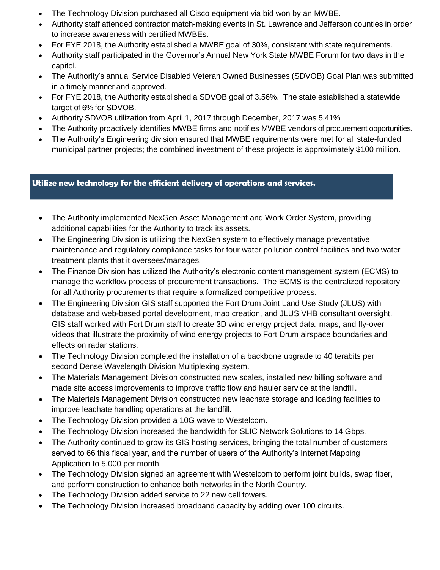- The Technology Division purchased all Cisco equipment via bid won by an MWBE.
- Authority staff attended contractor match-making events in St. Lawrence and Jefferson counties in order to increase awareness with certified MWBEs.
- For FYE 2018, the Authority established a MWBE goal of 30%, consistent with state requirements.
- Authority staff participated in the Governor's Annual New York State MWBE Forum for two days in the capitol.
- The Authority's annual Service Disabled Veteran Owned Businesses (SDVOB) Goal Plan was submitted in a timely manner and approved.
- For FYE 2018, the Authority established a SDVOB goal of 3.56%. The state established a statewide target of 6% for SDVOB.
- Authority SDVOB utilization from April 1, 2017 through December, 2017 was 5.41%
- The Authority proactively identifies MWBE firms and notifies MWBE vendors of procurement opportunities.
- The Authority's Engineering division ensured that MWBE requirements were met for all state-funded municipal partner projects; the combined investment of these projects is approximately \$100 million.

### **P Utilize new technology for the efficient delivery of operations and services.**

- The Authority implemented NexGen Asset Management and Work Order System, providing additional capabilities for the Authority to track its assets.
- The Engineering Division is utilizing the NexGen system to effectively manage preventative maintenance and regulatory compliance tasks for four water pollution control facilities and two water treatment plants that it oversees/manages.
- The Finance Division has utilized the Authority's electronic content management system (ECMS) to manage the workflow process of procurement transactions. The ECMS is the centralized repository for all Authority procurements that require a formalized competitive process.
- The Engineering Division GIS staff supported the Fort Drum Joint Land Use Study (JLUS) with database and web-based portal development, map creation, and JLUS VHB consultant oversight. GIS staff worked with Fort Drum staff to create 3D wind energy project data, maps, and fly-over videos that illustrate the proximity of wind energy projects to Fort Drum airspace boundaries and effects on radar stations.
- The Technology Division completed the installation of a backbone upgrade to 40 terabits per second Dense Wavelength Division Multiplexing system.
- The Materials Management Division constructed new scales, installed new billing software and made site access improvements to improve traffic flow and hauler service at the landfill.
- The Materials Management Division constructed new leachate storage and loading facilities to improve leachate handling operations at the landfill.
- The Technology Division provided a 10G wave to Westelcom.
- The Technology Division increased the bandwidth for SLIC Network Solutions to 14 Gbps.
- The Authority continued to grow its GIS hosting services, bringing the total number of customers served to 66 this fiscal year, and the number of users of the Authority's Internet Mapping Application to 5,000 per month.
- The Technology Division signed an agreement with Westelcom to perform joint builds, swap fiber, and perform construction to enhance both networks in the North Country.
- The Technology Division added service to 22 new cell towers.
- The Technology Division increased broadband capacity by adding over 100 circuits.